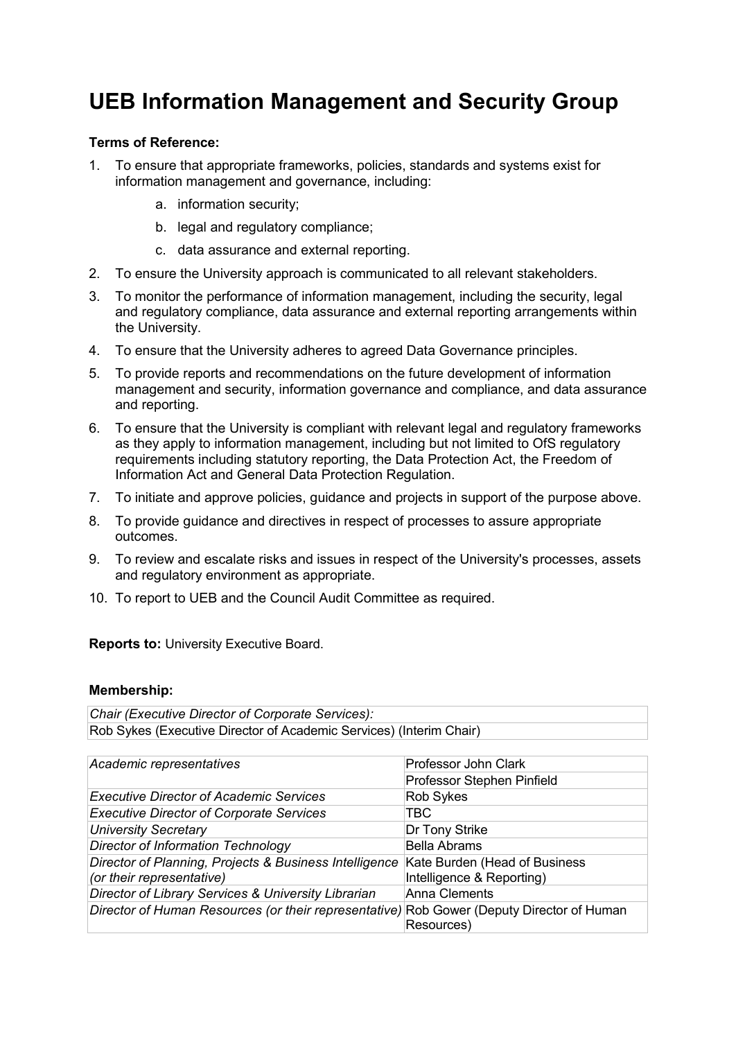## **UEB Information Management and Security Group**

## **Terms of Reference:**

- 1. To ensure that appropriate frameworks, policies, standards and systems exist for information management and governance, including:
	- a. information security;
	- b. legal and regulatory compliance;
	- c. data assurance and external reporting.
- 2. To ensure the University approach is communicated to all relevant stakeholders.
- 3. To monitor the performance of information management, including the security, legal and regulatory compliance, data assurance and external reporting arrangements within the University.
- 4. To ensure that the University adheres to agreed Data Governance principles.
- 5. To provide reports and recommendations on the future development of information management and security, information governance and compliance, and data assurance and reporting.
- 6. To ensure that the University is compliant with relevant legal and regulatory frameworks as they apply to information management, including but not limited to OfS regulatory requirements including statutory reporting, the Data Protection Act, the Freedom of Information Act and General Data Protection Regulation.
- 7. To initiate and approve policies, guidance and projects in support of the purpose above.
- 8. To provide guidance and directives in respect of processes to assure appropriate outcomes.
- 9. To review and escalate risks and issues in respect of the University's processes, assets and regulatory environment as appropriate.
- 10. To report to UEB and the Council Audit Committee as required.

**Reports to:** University Executive Board.

## **Membership:**

*Chair (Executive Director of Corporate Services):* Rob Sykes (Executive Director of Academic Services) (Interim Chair)

| Academic representatives                                                                  | Professor John Clark          |
|-------------------------------------------------------------------------------------------|-------------------------------|
|                                                                                           | Professor Stephen Pinfield    |
| <b>Executive Director of Academic Services</b>                                            | <b>Rob Sykes</b>              |
| <b>Executive Director of Corporate Services</b>                                           | TBC.                          |
| <b>University Secretary</b>                                                               | Dr Tony Strike                |
| <b>Director of Information Technology</b>                                                 | <b>Bella Abrams</b>           |
| Director of Planning, Projects & Business Intelligence                                    | Kate Burden (Head of Business |
| (or their representative)                                                                 | Intelligence & Reporting)     |
| Director of Library Services & University Librarian                                       | <b>Anna Clements</b>          |
| Director of Human Resources (or their representative) Rob Gower (Deputy Director of Human |                               |
|                                                                                           | Resources)                    |